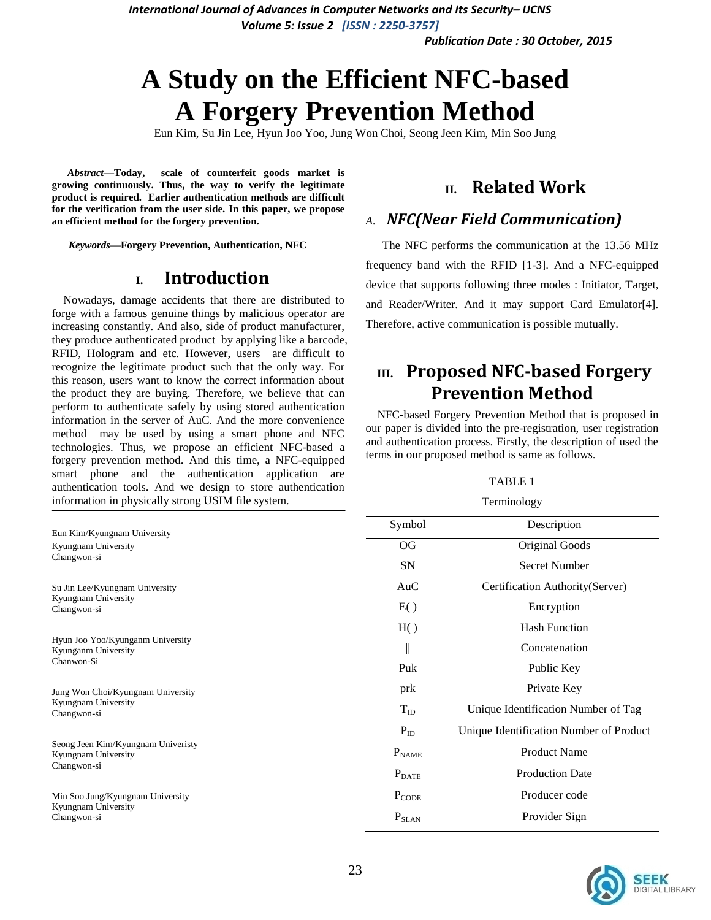*Publication Date : 30 October, 2015*

# **A Study on the Efficient NFC-based A Forgery Prevention Method**

Eun Kim, Su Jin Lee, Hyun Joo Yoo, Jung Won Choi, Seong Jeen Kim, Min Soo Jung

*Abstract***—Today, scale of counterfeit goods market is growing continuously. Thus, the way to verify the legitimate product is required. Earlier authentication methods are difficult for the verification from the user side. In this paper, we propose an efficient method for the forgery prevention.**

*Keywords—***Forgery Prevention, Authentication, NFC**

### **I. Introduction**

Nowadays, damage accidents that there are distributed to forge with a famous genuine things by malicious operator are increasing constantly. And also, side of product manufacturer, they produce authenticated product by applying like a barcode, RFID, Hologram and etc. However, users are difficult to recognize the legitimate product such that the only way. For this reason, users want to know the correct information about the product they are buying. Therefore, we believe that can perform to authenticate safely by using stored authentication information in the server of AuC. And the more convenience method may be used by using a smart phone and NFC technologies. Thus, we propose an efficient NFC-based a forgery prevention method. And this time, a NFC-equipped smart phone and the authentication application are authentication tools. And we design to store authentication information in physically strong USIM file system.

## **II. Related Work**

#### *A. NFC(Near Field Communication)*

The NFC performs the communication at the 13.56 MHz frequency band with the RFID [1-3]. And a NFC-equipped device that supports following three modes : Initiator, Target, and Reader/Writer. And it may support Card Emulator[4]. Therefore, active communication is possible mutually.

# **III. Proposed NFC-based Forgery Prevention Method**

NFC-based Forgery Prevention Method that is proposed in our paper is divided into the pre-registration, user registration and authentication process. Firstly, the description of used the terms in our proposed method is same as follows.

#### TABLE 1 **Terminology**

| Eun Kim/Kyungnam University<br>Kyungnam University<br>Changwon-si        | Symbol            | Description                             |
|--------------------------------------------------------------------------|-------------------|-----------------------------------------|
|                                                                          | <b>OG</b>         | Original Goods                          |
|                                                                          | <b>SN</b>         | <b>Secret Number</b>                    |
| Su Jin Lee/Kyungnam University<br>Kyungnam University<br>Changwon-si     | AuC               | Certification Authority(Server)         |
|                                                                          | E()               | Encryption                              |
| Hyun Joo Yoo/Kyunganm University<br>Kyunganm University<br>Chanwon-Si    | H()               | <b>Hash Function</b>                    |
|                                                                          | $\big\ $          | Concatenation                           |
|                                                                          | Puk               | Public Key                              |
| Jung Won Choi/Kyungnam University<br>Kyungnam University<br>Changwon-si  | prk               | Private Key                             |
|                                                                          | $T_{ID}$          | Unique Identification Number of Tag     |
| Seong Jeen Kim/Kyungnam Univeristy<br>Kyungnam University<br>Changwon-si | $P_{ID}$          | Unique Identification Number of Product |
|                                                                          | $P_{NAME}$        | <b>Product Name</b>                     |
|                                                                          | $P_{\text{DATE}}$ | <b>Production Date</b>                  |
| Min Soo Jung/Kyungnam University<br>Kyungnam University<br>Changwon-si   | $P_{CODE}$        | Producer code                           |
|                                                                          | $P_{SLAN}$        | Provider Sign                           |

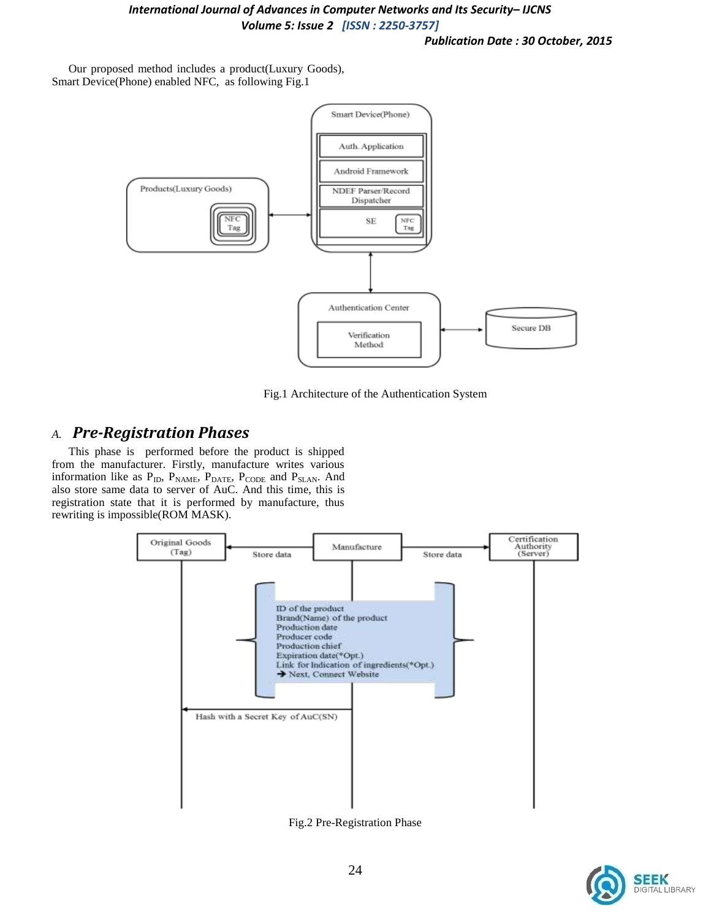*Publication Date : 30 October, 2015*

Our proposed method includes a product(Luxury Goods), Smart Device(Phone) enabled NFC, as following Fig.1





## *A. Pre-Registration Phases*

This phase is performed before the product is shipped from the manufacturer. Firstly, manufacture writes various information like as  $P_{ID}$ ,  $P_{NAME}$ ,  $P_{DATE}$ ,  $P_{CODE}$  and  $P_{SLAN}$ . And also store same data to server of AuC. And this time, this is registration state that it is performed by manufacture, thus rewriting is impossible(ROM MASK).



Fig.2 Pre-Registration Phase

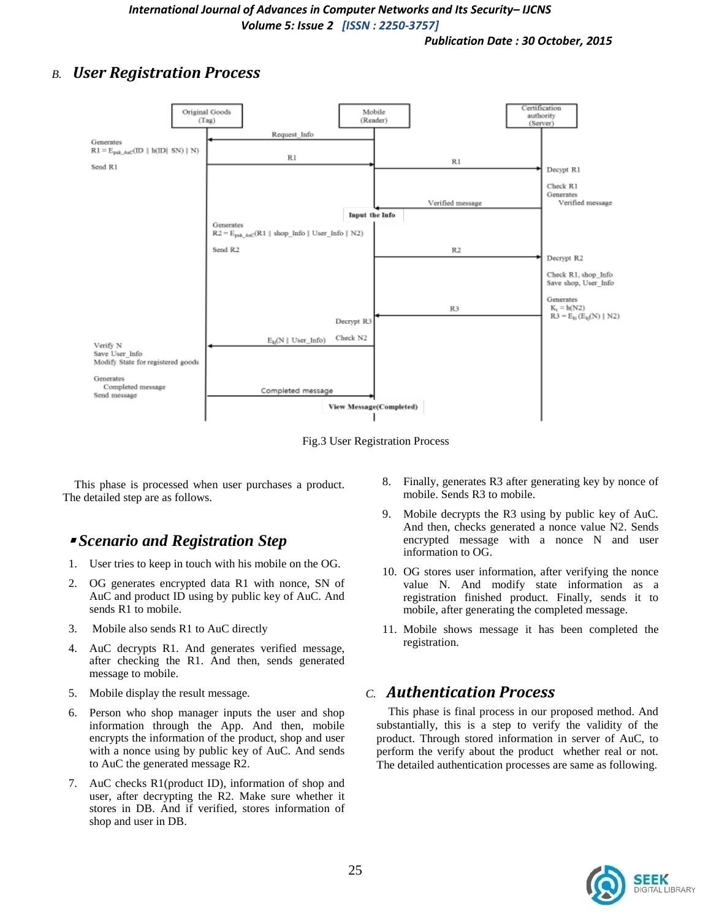## *B. User Registration Process*



Fig.3 User Registration Process

This phase is processed when user purchases a product. The detailed step are as follows.

## ▪ *Scenario and Registration Step*

- 1. User tries to keep in touch with his mobile on the OG.
- 2. OG generates encrypted data R1 with nonce, SN of AuC and product ID using by public key of AuC. And sends R1 to mobile.
- 3. Mobile also sends R1 to AuC directly
- 4. AuC decrypts R1. And generates verified message, after checking the R1. And then, sends generated message to mobile.
- 5. Mobile display the result message.
- 6. Person who shop manager inputs the user and shop information through the App. And then, mobile encrypts the information of the product, shop and user with a nonce using by public key of AuC. And sends to AuC the generated message R2.
- 7. AuC checks R1(product ID), information of shop and user, after decrypting the R2. Make sure whether it stores in DB. And if verified, stores information of shop and user in DB.
- 8. Finally, generates R3 after generating key by nonce of mobile. Sends R3 to mobile.
- 9. Mobile decrypts the R3 using by public key of AuC. And then, checks generated a nonce value N2. Sends encrypted message with a nonce N and user information to OG.
- 10. OG stores user information, after verifying the nonce value N. And modify state information as a registration finished product. Finally, sends it to mobile, after generating the completed message.
- 11. Mobile shows message it has been completed the registration.

## *C. Authentication Process*

This phase is final process in our proposed method. And substantially, this is a step to verify the validity of the product. Through stored information in server of AuC, to perform the verify about the product whether real or not. The detailed authentication processes are same as following.

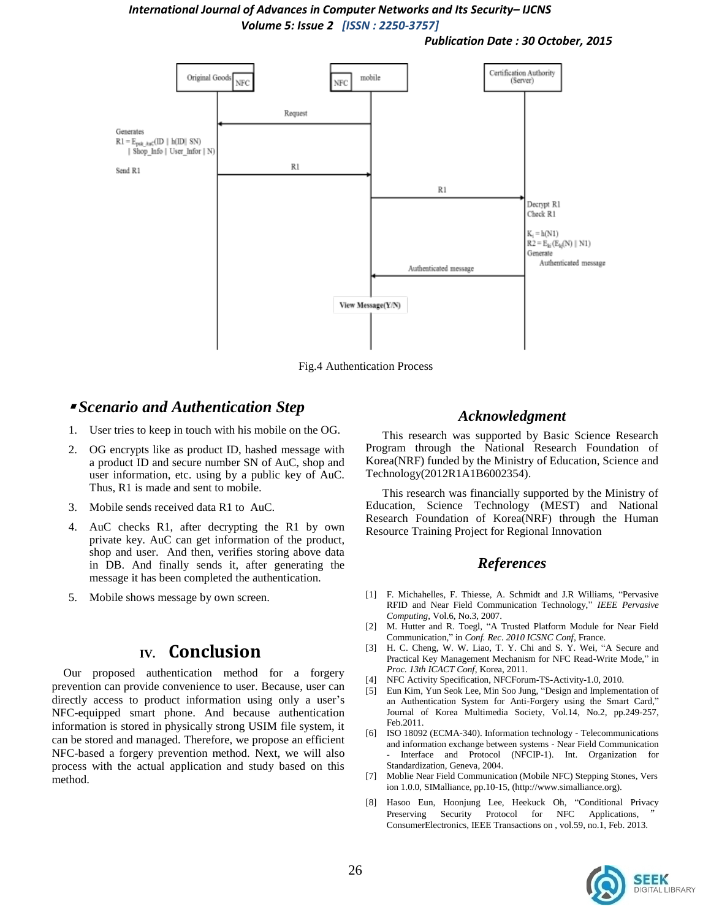*Publication Date : 30 October, 2015*



Fig.4 Authentication Process

### ▪ *Scenario and Authentication Step*

- 1. User tries to keep in touch with his mobile on the OG.
- 2. OG encrypts like as product ID, hashed message with a product ID and secure number SN of AuC, shop and user information, etc. using by a public key of AuC. Thus, R1 is made and sent to mobile.
- 3. Mobile sends received data R1 to AuC.
- 4. AuC checks R1, after decrypting the R1 by own private key. AuC can get information of the product, shop and user. And then, verifies storing above data in DB. And finally sends it, after generating the message it has been completed the authentication.
- 5. Mobile shows message by own screen.

# **IV. Conclusion**

Our proposed authentication method for a forgery prevention can provide convenience to user. Because, user can directly access to product information using only a user's NFC-equipped smart phone. And because authentication information is stored in physically strong USIM file system, it can be stored and managed. Therefore, we propose an efficient NFC-based a forgery prevention method. Next, we will also process with the actual application and study based on this method.

#### *Acknowledgment*

This research was supported by Basic Science Research Program through the National Research Foundation of Korea(NRF) funded by the Ministry of Education, Science and Technology(2012R1A1B6002354).

This research was financially supported by the Ministry of Education, Science Technology (MEST) and National Research Foundation of Korea(NRF) through the Human Resource Training Project for Regional Innovation

#### *References*

- [1] F. Michahelles, F. Thiesse, A. Schmidt and J.R Williams, "Pervasive RFID and Near Field Communication Technology," *IEEE Pervasive Computing*, Vol.6, No.3, 2007.
- [2] M. Hutter and R. Toegl, "A Trusted Platform Module for Near Field Communication," in *Conf. Rec. 2010 ICSNC Conf*, France.
- [3] H. C. Cheng, W. W. Liao, T. Y. Chi and S. Y. Wei, "A Secure and Practical Key Management Mechanism for NFC Read-Write Mode," in *Proc. 13th ICACT Conf*, Korea, 2011.
- [4] NFC Activity Specification, NFCForum-TS-Activity-1.0, 2010.
- [5] Eun Kim, Yun Seok Lee, Min Soo Jung, "Design and Implementation of an Authentication System for Anti-Forgery using the Smart Card," Journal of Korea Multimedia Society, Vol.14, No.2, pp.249-257, Feb.2011.
- [6] ISO 18092 (ECMA-340). Information technology Telecommunications and information exchange between systems - Near Field Communication Interface and Protocol (NFCIP-1). Int. Organization for Standardization, Geneva, 2004.
- [7] Moblie Near Field Communication (Mobile NFC) Stepping Stones, Vers ion 1.0.0, SIMalliance, pp.10-15, (http://www.simalliance.org).
- [8] Hasoo Eun, Hoonjung Lee, Heekuck Oh, "Conditional Privacy Preserving Security Protocol for NFC Applications, ConsumerElectronics, IEEE Transactions on , vol.59, no.1, Feb. 2013.